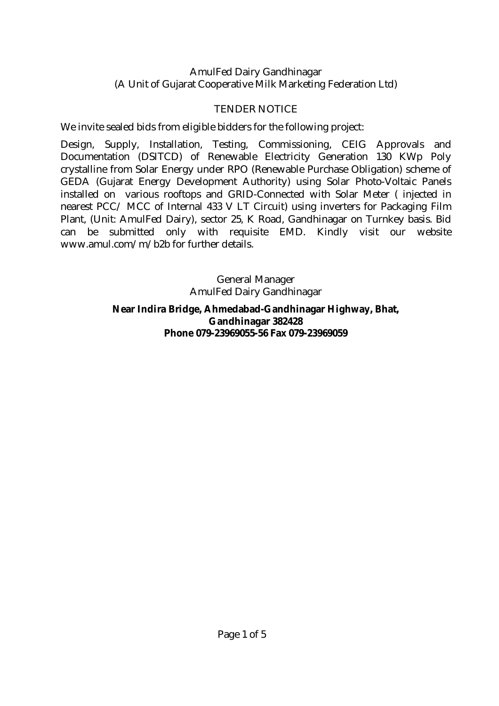#### AmulFed Dairy Gandhinagar (A Unit of Gujarat Cooperative Milk Marketing Federation Ltd)

### TENDER NOTICE

We invite sealed bids from eligible bidders for the following project:

Design, Supply, Installation, Testing, Commissioning, CEIG Approvals and Documentation (DSITCD) of Renewable Electricity Generation 130 KWp Poly crystalline from Solar Energy under RPO (Renewable Purchase Obligation) scheme of GEDA (Gujarat Energy Development Authority) using Solar Photo-Voltaic Panels installed on various rooftops and GRID-Connected with Solar Meter ( injected in nearest PCC/ MCC of Internal 433 V LT Circuit) using inverters for Packaging Film Plant, (Unit: AmulFed Dairy), sector 25, K Road, Gandhinagar on Turnkey basis. Bid can be submitted only with requisite EMD. Kindly visit our website www.amul.com/m/b2b for further details.

> General Manager AmulFed Dairy Gandhinagar **Near Indira Bridge, Ahmedabad-Gandhinagar Highway, Bhat, Gandhinagar 382428 Phone 079-23969055-56 Fax 079-23969059**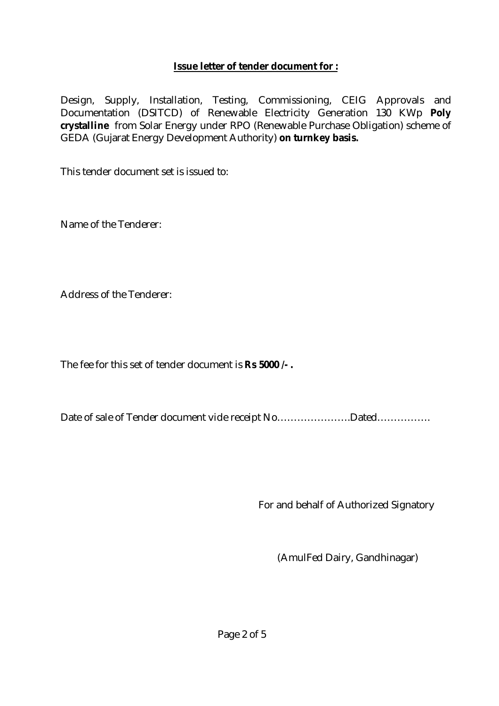### **Issue letter of tender document for :**

Design, Supply, Installation, Testing, Commissioning, CEIG Approvals and Documentation (DSITCD) of Renewable Electricity Generation 130 KWp **Poly crystalline** from Solar Energy under RPO (Renewable Purchase Obligation) scheme of GEDA (Gujarat Energy Development Authority) **on turnkey basis.**

This tender document set is issued to:

Name of the Tenderer:

Address of the Tenderer:

The fee for this set of tender document is **Rs 5000 /- .**

Date of sale of Tender document vide receipt No………………………Dated………………

For and behalf of Authorized Signatory

(AmulFed Dairy, Gandhinagar)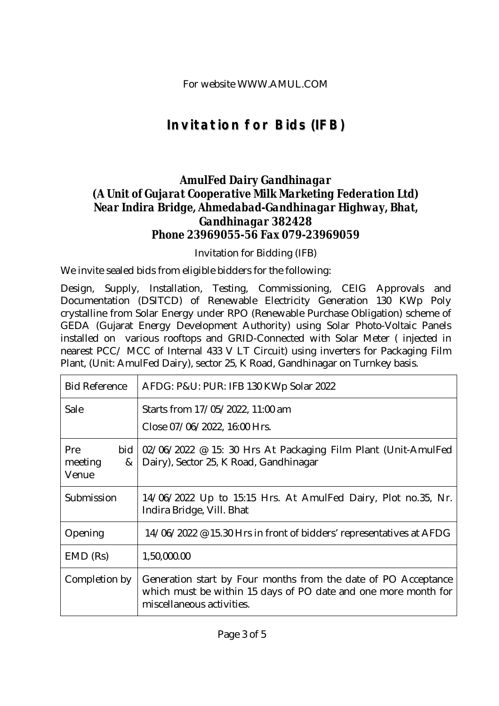# **Invitation for Bids (IFB)**

### *AmulFed Dairy Gandhinagar (A Unit of Gujarat Cooperative Milk Marketing Federation Ltd) Near Indira Bridge, Ahmedabad-Gandhinagar Highway, Bhat, Gandhinagar 382428 Phone 23969055-56 Fax 079-23969059*

Invitation for Bidding (IFB)

We invite sealed bids from eligible bidders for the following:

Design, Supply, Installation, Testing, Commissioning, CEIG Approvals and Documentation (DSITCD) of Renewable Electricity Generation 130 KWp Poly crystalline from Solar Energy under RPO (Renewable Purchase Obligation) scheme of GEDA (Gujarat Energy Development Authority) using Solar Photo-Voltaic Panels installed on various rooftops and GRID-Connected with Solar Meter ( injected in nearest PCC/ MCC of Internal 433 V LT Circuit) using inverters for Packaging Film Plant, (Unit: AmulFed Dairy), sector 25, K Road, Gandhinagar on Turnkey basis.

| <b>Bid Reference</b>                | AFDG: P&U: PUR: IFB 130 KWp Solar 2022                                                                                                                        |
|-------------------------------------|---------------------------------------------------------------------------------------------------------------------------------------------------------------|
| Sale                                | Starts from 17/05/2022, 11:00 am                                                                                                                              |
|                                     | Close 07/06/2022, 16:00 Hrs.                                                                                                                                  |
| <b>Pre</b><br>meeting<br>&<br>Venue | bid $\vert 02/06/2022 \text{ } \textcircled{e} 15$ : 30 Hrs At Packaging Film Plant (Unit-AmulFed<br>Dairy), Sector 25, K Road, Gandhinagar                   |
| Submission                          | 14/06/2022 Up to 15:15 Hrs. At AmulFed Dairy, Plot no.35, Nr.<br>Indira Bridge, Vill. Bhat                                                                    |
| Opening                             | 14/06/2022 @ 15.30 Hrs in front of bidders' representatives at AFDG                                                                                           |
| $EMD$ (Rs)                          | 1,50,000.00                                                                                                                                                   |
| Completion by                       | Generation start by Four months from the date of PO Acceptance<br>which must be within 15 days of PO date and one more month for<br>miscellaneous activities. |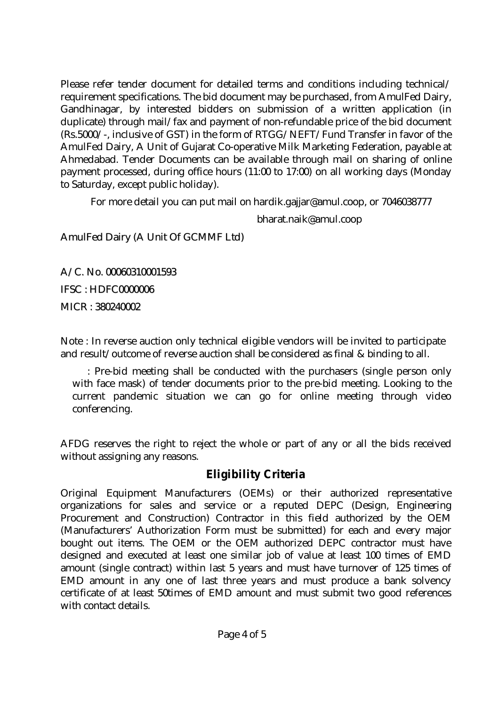Please refer tender document for detailed terms and conditions including technical/ requirement specifications. The bid document may be purchased, from AmulFed Dairy, Gandhinagar, by interested bidders on submission of a written application (in duplicate) through mail/fax and payment of non-refundable price of the bid document (Rs.5000/-, inclusive of GST) in the form of RTGG/NEFT/Fund Transfer in favor of the AmulFed Dairy, A Unit of Gujarat Co-operative Milk Marketing Federation, payable at Ahmedabad. Tender Documents can be available through mail on sharing of online payment processed, during office hours (11:00 to 17:00) on all working days (Monday to Saturday, except public holiday).

For more detail you can put mail on hardik.gajjar@amul.coop, or 7046038777

bharat.naik@amul.coop

AmulFed Dairy (A Unit Of GCMMF Ltd)

A/C. No. 00060310001593 IFSC : HDFC0000006

MICR : 380240002

Note : In reverse auction only technical eligible vendors will be invited to participate and result/outcome of reverse auction shall be considered as final & binding to all.

 : Pre-bid meeting shall be conducted with the purchasers (single person only with face mask) of tender documents prior to the pre-bid meeting. Looking to the current pandemic situation we can go for online meeting through video conferencing.

AFDG reserves the right to reject the whole or part of any or all the bids received without assigning any reasons.

## **Eligibility Criteria**

Original Equipment Manufacturers (OEMs) or their authorized representative organizations for sales and service or a reputed DEPC (Design, Engineering Procurement and Construction) Contractor in this field authorized by the OEM (Manufacturers' Authorization Form must be submitted) for each and every major bought out items. The OEM or the OEM authorized DEPC contractor must have designed and executed at least one similar job of value at least 100 times of EMD amount (single contract) within last 5 years and must have turnover of 125 times of EMD amount in any one of last three years and must produce a bank solvency certificate of at least 50times of EMD amount and must submit two good references with contact details.